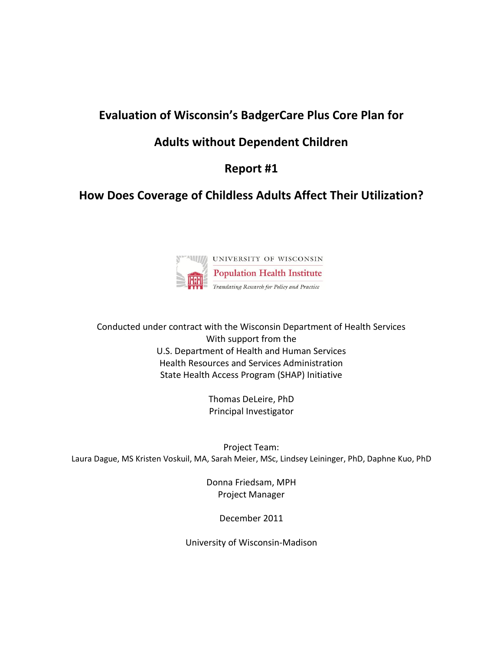# **Evaluation of Wisconsin's BadgerCare Plus Core Plan for**

# **Adults without Dependent Children**

# **Report #1**

# **How Does Coverage of Childless Adults Affect Their Utilization?**



Conducted under contract with the Wisconsin Department of Health Services With support from the U.S. Department of Health and Human Services Health Resources and Services Administration State Health Access Program (SHAP) Initiative

> Thomas DeLeire, PhD Principal Investigator

Project Team: Laura Dague, MS Kristen Voskuil, MA, Sarah Meier, MSc, Lindsey Leininger, PhD, Daphne Kuo, PhD

> Donna Friedsam, MPH Project Manager

> > December 2011

University of Wisconsin-Madison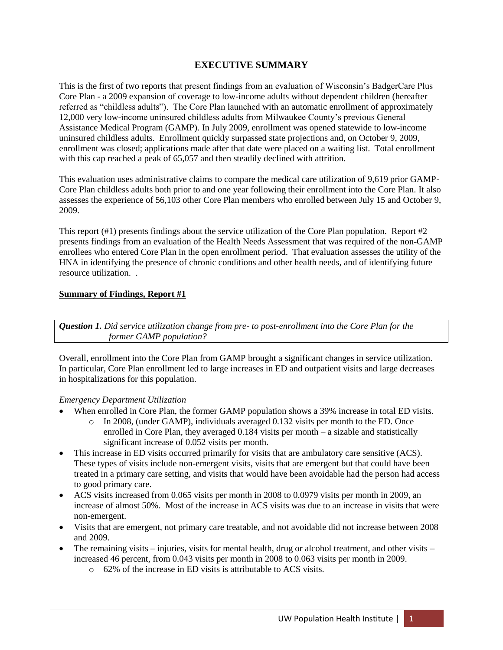## **EXECUTIVE SUMMARY**

This is the first of two reports that present findings from an evaluation of Wisconsin's BadgerCare Plus Core Plan - a 2009 expansion of coverage to low-income adults without dependent children (hereafter referred as "childless adults"). The Core Plan launched with an automatic enrollment of approximately 12,000 very low-income uninsured childless adults from Milwaukee County's previous General Assistance Medical Program (GAMP). In July 2009, enrollment was opened statewide to low-income uninsured childless adults. Enrollment quickly surpassed state projections and, on October 9, 2009, enrollment was closed; applications made after that date were placed on a waiting list. Total enrollment with this cap reached a peak of 65,057 and then steadily declined with attrition.

This evaluation uses administrative claims to compare the medical care utilization of 9,619 prior GAMP-Core Plan childless adults both prior to and one year following their enrollment into the Core Plan. It also assesses the experience of 56,103 other Core Plan members who enrolled between July 15 and October 9, 2009.

This report (#1) presents findings about the service utilization of the Core Plan population. Report #2 presents findings from an evaluation of the Health Needs Assessment that was required of the non-GAMP enrollees who entered Core Plan in the open enrollment period. That evaluation assesses the utility of the HNA in identifying the presence of chronic conditions and other health needs, and of identifying future resource utilization. .

#### **Summary of Findings, Report #1**

*Question 1. Did service utilization change from pre- to post-enrollment into the Core Plan for the former GAMP population?*

Overall, enrollment into the Core Plan from GAMP brought a significant changes in service utilization. In particular, Core Plan enrollment led to large increases in ED and outpatient visits and large decreases in hospitalizations for this population.

#### *Emergency Department Utilization*

- When enrolled in Core Plan, the former GAMP population shows a 39% increase in total ED visits.
	- $\circ$  In 2008, (under GAMP), individuals averaged 0.132 visits per month to the ED. Once enrolled in Core Plan, they averaged 0.184 visits per month – a sizable and statistically significant increase of 0.052 visits per month.
- This increase in ED visits occurred primarily for visits that are ambulatory care sensitive (ACS). These types of visits include non-emergent visits, visits that are emergent but that could have been treated in a primary care setting, and visits that would have been avoidable had the person had access to good primary care.
- ACS visits increased from 0.065 visits per month in 2008 to 0.0979 visits per month in 2009, an increase of almost 50%. Most of the increase in ACS visits was due to an increase in visits that were non-emergent.
- Visits that are emergent, not primary care treatable, and not avoidable did not increase between 2008 and 2009.
- The remaining visits injuries, visits for mental health, drug or alcohol treatment, and other visits increased 46 percent, from 0.043 visits per month in 2008 to 0.063 visits per month in 2009.
	- o 62% of the increase in ED visits is attributable to ACS visits.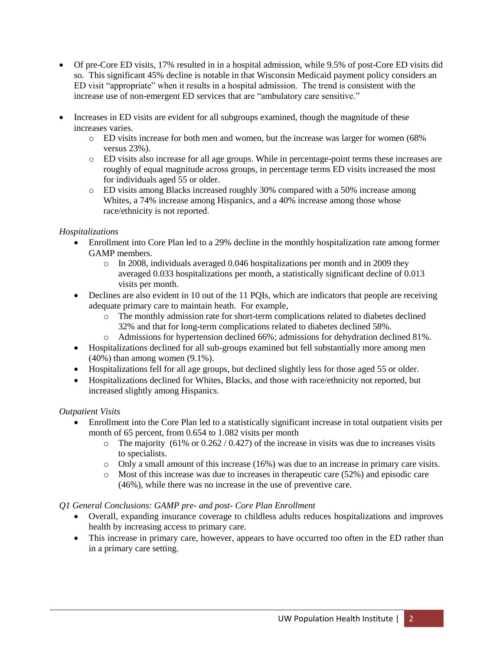- Of pre-Core ED visits, 17% resulted in in a hospital admission, while 9.5% of post-Core ED visits did so. This significant 45% decline is notable in that Wisconsin Medicaid payment policy considers an ED visit "appropriate" when it results in a hospital admission. The trend is consistent with the increase use of non-emergent ED services that are "ambulatory care sensitive."
- Increases in ED visits are evident for all subgroups examined, though the magnitude of these increases varies.
	- o ED visits increase for both men and women, but the increase was larger for women (68% versus 23%).
	- o ED visits also increase for all age groups. While in percentage-point terms these increases are roughly of equal magnitude across groups, in percentage terms ED visits increased the most for individuals aged 55 or older.
	- o ED visits among Blacks increased roughly 30% compared with a 50% increase among Whites, a 74% increase among Hispanics, and a 40% increase among those whose race/ethnicity is not reported.

### *Hospitalizations*

- Enrollment into Core Plan led to a 29% decline in the monthly hospitalization rate among former GAMP members.
	- $\circ$  In 2008, individuals averaged 0.046 hospitalizations per month and in 2009 they averaged 0.033 hospitalizations per month, a statistically significant decline of 0.013 visits per month.
- Declines are also evident in 10 out of the 11 PQIs, which are indicators that people are receiving adequate primary care to maintain heath. For example,
	- o The monthly admission rate for short-term complications related to diabetes declined 32% and that for long-term complications related to diabetes declined 58%.
	- o Admissions for hypertension declined 66%; admissions for dehydration declined 81%.
- Hospitalizations declined for all sub-groups examined but fell substantially more among men (40%) than among women (9.1%).
- Hospitalizations fell for all age groups, but declined slightly less for those aged 55 or older.
- Hospitalizations declined for Whites, Blacks, and those with race/ethnicity not reported, but increased slightly among Hispanics.

#### *Outpatient Visits*

- Enrollment into the Core Plan led to a statistically significant increase in total outpatient visits per month of 65 percent, from 0.654 to 1.082 visits per month
	- $\circ$  The majority (61% or 0.262 / 0.427) of the increase in visits was due to increases visits to specialists.
	- o Only a small amount of this increase (16%) was due to an increase in primary care visits.
	- $\circ$  Most of this increase was due to increases in the approximate care (52%) and episodic care (46%), while there was no increase in the use of preventive care.

### *Q1 General Conclusions: GAMP pre- and post- Core Plan Enrollment*

- Overall, expanding insurance coverage to childless adults reduces hospitalizations and improves health by increasing access to primary care.
- This increase in primary care, however, appears to have occurred too often in the ED rather than in a primary care setting.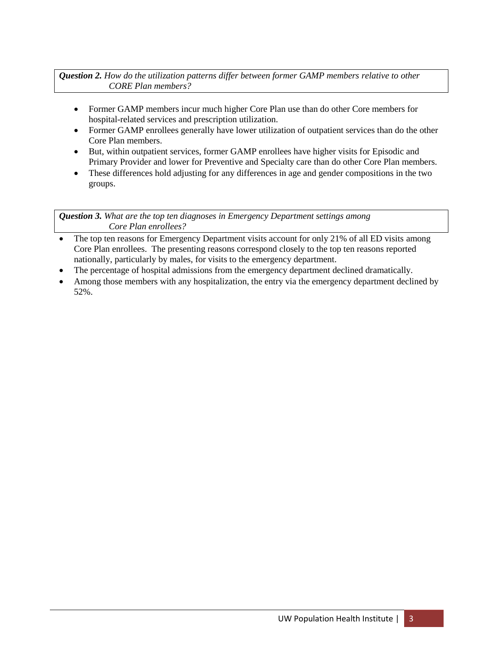*Question 2. How do the utilization patterns differ between former GAMP members relative to other CORE Plan members?*

- Former GAMP members incur much higher Core Plan use than do other Core members for hospital-related services and prescription utilization.
- Former GAMP enrollees generally have lower utilization of outpatient services than do the other Core Plan members.
- But, within outpatient services, former GAMP enrollees have higher visits for Episodic and Primary Provider and lower for Preventive and Specialty care than do other Core Plan members.
- These differences hold adjusting for any differences in age and gender compositions in the two groups.

*Question 3. What are the top ten diagnoses in Emergency Department settings among Core Plan enrollees?*

- The top ten reasons for Emergency Department visits account for only 21% of all ED visits among Core Plan enrollees. The presenting reasons correspond closely to the top ten reasons reported nationally, particularly by males, for visits to the emergency department.
- The percentage of hospital admissions from the emergency department declined dramatically.
- Among those members with any hospitalization, the entry via the emergency department declined by 52%.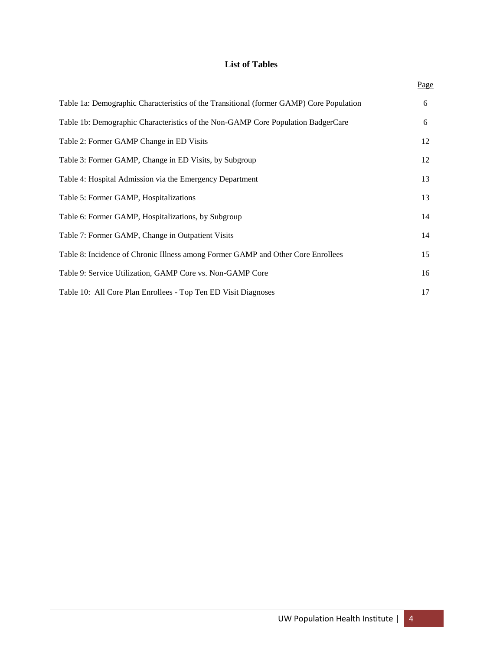## **List of Tables**

|                                                                                         | Page |
|-----------------------------------------------------------------------------------------|------|
| Table 1a: Demographic Characteristics of the Transitional (former GAMP) Core Population | 6    |
| Table 1b: Demographic Characteristics of the Non-GAMP Core Population BadgerCare        | 6    |
| Table 2: Former GAMP Change in ED Visits                                                | 12   |
| Table 3: Former GAMP, Change in ED Visits, by Subgroup                                  | 12   |
| Table 4: Hospital Admission via the Emergency Department                                | 13   |
| Table 5: Former GAMP, Hospitalizations                                                  | 13   |
| Table 6: Former GAMP, Hospitalizations, by Subgroup                                     | 14   |
| Table 7: Former GAMP, Change in Outpatient Visits                                       | 14   |
| Table 8: Incidence of Chronic Illness among Former GAMP and Other Core Enrollees        | 15   |
| Table 9: Service Utilization, GAMP Core vs. Non-GAMP Core                               | 16   |
| Table 10: All Core Plan Enrollees - Top Ten ED Visit Diagnoses                          | 17   |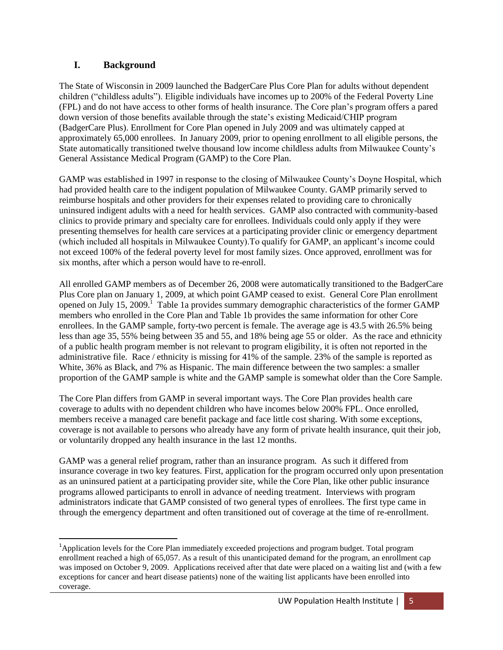## **I. Background**

 $\overline{a}$ 

The State of Wisconsin in 2009 launched the BadgerCare Plus Core Plan for adults without dependent children ("childless adults"). Eligible individuals have incomes up to 200% of the Federal Poverty Line (FPL) and do not have access to other forms of health insurance. The Core plan's program offers a pared down version of those benefits available through the state's existing Medicaid/CHIP program (BadgerCare Plus). Enrollment for Core Plan opened in July 2009 and was ultimately capped at approximately 65,000 enrollees. In January 2009, prior to opening enrollment to all eligible persons, the State automatically transitioned twelve thousand low income childless adults from Milwaukee County's General Assistance Medical Program (GAMP) to the Core Plan.

GAMP was established in 1997 in response to the closing of Milwaukee County's Doyne Hospital, which had provided health care to the indigent population of Milwaukee County. GAMP primarily served to reimburse hospitals and other providers for their expenses related to providing care to chronically uninsured indigent adults with a need for health services. GAMP also contracted with community-based clinics to provide primary and specialty care for enrollees. Individuals could only apply if they were presenting themselves for health care services at a participating provider clinic or emergency department (which included all hospitals in Milwaukee County).To qualify for GAMP, an applicant's income could not exceed 100% of the federal poverty level for most family sizes. Once approved, enrollment was for six months, after which a person would have to re-enroll.

All enrolled GAMP members as of December 26, 2008 were automatically transitioned to the BadgerCare Plus Core plan on January 1, 2009, at which point GAMP ceased to exist. General Core Plan enrollment opened on July 15, 2009.<sup>1</sup> Table 1a provides summary demographic characteristics of the former GAMP members who enrolled in the Core Plan and Table 1b provides the same information for other Core enrollees. In the GAMP sample, forty-two percent is female. The average age is 43.5 with 26.5% being less than age 35, 55% being between 35 and 55, and 18% being age 55 or older. As the race and ethnicity of a public health program member is not relevant to program eligibility, it is often not reported in the administrative file. Race / ethnicity is missing for 41% of the sample. 23% of the sample is reported as White, 36% as Black, and 7% as Hispanic. The main difference between the two samples: a smaller proportion of the GAMP sample is white and the GAMP sample is somewhat older than the Core Sample.

The Core Plan differs from GAMP in several important ways. The Core Plan provides health care coverage to adults with no dependent children who have incomes below 200% FPL. Once enrolled, members receive a managed care benefit package and face little cost sharing. With some exceptions, coverage is not available to persons who already have any form of private health insurance, quit their job, or voluntarily dropped any health insurance in the last 12 months.

GAMP was a general relief program, rather than an insurance program. As such it differed from insurance coverage in two key features. First, application for the program occurred only upon presentation as an uninsured patient at a participating provider site, while the Core Plan, like other public insurance programs allowed participants to enroll in advance of needing treatment. Interviews with program administrators indicate that GAMP consisted of two general types of enrollees. The first type came in through the emergency department and often transitioned out of coverage at the time of re-enrollment.

<sup>&</sup>lt;sup>1</sup>Application levels for the Core Plan immediately exceeded projections and program budget. Total program enrollment reached a high of 65,057. As a result of this unanticipated demand for the program, an enrollment cap was imposed on October 9, 2009. Applications received after that date were placed on a waiting list and (with a few exceptions for cancer and heart disease patients) none of the waiting list applicants have been enrolled into coverage.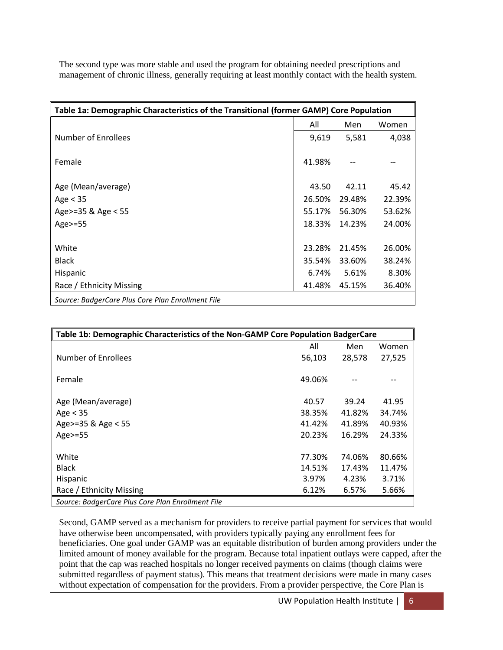The second type was more stable and used the program for obtaining needed prescriptions and management of chronic illness, generally requiring at least monthly contact with the health system.

| Table 1a: Demographic Characteristics of the Transitional (former GAMP) Core Population |        |        |        |  |  |
|-----------------------------------------------------------------------------------------|--------|--------|--------|--|--|
|                                                                                         | All    | Men    | Women  |  |  |
| Number of Enrollees                                                                     | 9,619  | 5,581  | 4,038  |  |  |
|                                                                                         |        |        |        |  |  |
| Female                                                                                  | 41.98% |        |        |  |  |
|                                                                                         |        |        |        |  |  |
| Age (Mean/average)                                                                      | 43.50  | 42.11  | 45.42  |  |  |
| Age $<$ 35                                                                              | 26.50% | 29.48% | 22.39% |  |  |
| Age>=35 & Age < 55                                                                      | 55.17% | 56.30% | 53.62% |  |  |
| Age>=55                                                                                 | 18.33% | 14.23% | 24.00% |  |  |
|                                                                                         |        |        |        |  |  |
| White                                                                                   | 23.28% | 21.45% | 26.00% |  |  |
| <b>Black</b>                                                                            | 35.54% | 33.60% | 38.24% |  |  |
| Hispanic                                                                                | 6.74%  | 5.61%  | 8.30%  |  |  |
| Race / Ethnicity Missing                                                                | 41.48% | 45.15% | 36.40% |  |  |
| Source: BadgerCare Plus Core Plan Enrollment File                                       |        |        |        |  |  |

| Table 1b: Demographic Characteristics of the Non-GAMP Core Population BadgerCare |        |        |        |  |  |
|----------------------------------------------------------------------------------|--------|--------|--------|--|--|
|                                                                                  | All    | Men    | Women  |  |  |
| Number of Enrollees                                                              | 56,103 | 28,578 | 27,525 |  |  |
| Female                                                                           | 49.06% |        |        |  |  |
| Age (Mean/average)                                                               | 40.57  | 39.24  | 41.95  |  |  |
| Age $<$ 35                                                                       | 38.35% | 41.82% | 34.74% |  |  |
| Age>=35 & Age < 55                                                               | 41.42% | 41.89% | 40.93% |  |  |
| Age>=55                                                                          | 20.23% | 16.29% | 24.33% |  |  |
| White                                                                            | 77.30% | 74.06% | 80.66% |  |  |
| <b>Black</b>                                                                     | 14.51% | 17.43% | 11.47% |  |  |
| Hispanic                                                                         | 3.97%  | 4.23%  | 3.71%  |  |  |
| Race / Ethnicity Missing                                                         | 6.12%  | 6.57%  | 5.66%  |  |  |
| Source: BadgerCare Plus Core Plan Enrollment File                                |        |        |        |  |  |

Second, GAMP served as a mechanism for providers to receive partial payment for services that would have otherwise been uncompensated, with providers typically paying any enrollment fees for beneficiaries. One goal under GAMP was an equitable distribution of burden among providers under the limited amount of money available for the program. Because total inpatient outlays were capped, after the point that the cap was reached hospitals no longer received payments on claims (though claims were submitted regardless of payment status). This means that treatment decisions were made in many cases without expectation of compensation for the providers. From a provider perspective, the Core Plan is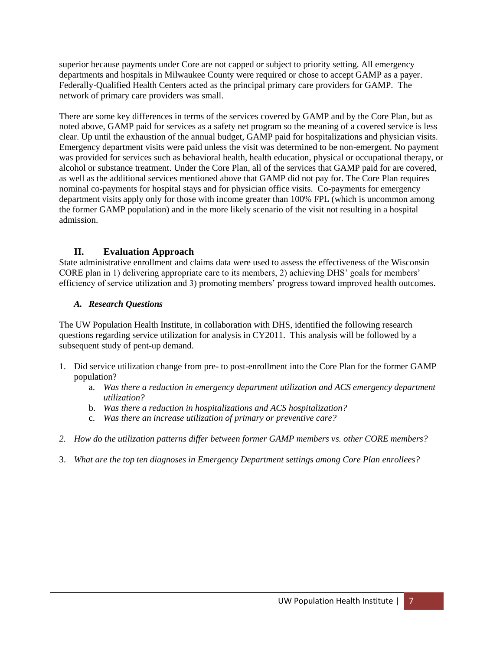superior because payments under Core are not capped or subject to priority setting. All emergency departments and hospitals in Milwaukee County were required or chose to accept GAMP as a payer. Federally-Qualified Health Centers acted as the principal primary care providers for GAMP. The network of primary care providers was small.

There are some key differences in terms of the services covered by GAMP and by the Core Plan, but as noted above, GAMP paid for services as a safety net program so the meaning of a covered service is less clear. Up until the exhaustion of the annual budget, GAMP paid for hospitalizations and physician visits. Emergency department visits were paid unless the visit was determined to be non-emergent. No payment was provided for services such as behavioral health, health education, physical or occupational therapy, or alcohol or substance treatment. Under the Core Plan, all of the services that GAMP paid for are covered, as well as the additional services mentioned above that GAMP did not pay for. The Core Plan requires nominal co-payments for hospital stays and for physician office visits. Co-payments for emergency department visits apply only for those with income greater than 100% FPL (which is uncommon among the former GAMP population) and in the more likely scenario of the visit not resulting in a hospital admission.

## **II. Evaluation Approach**

State administrative enrollment and claims data were used to assess the effectiveness of the Wisconsin CORE plan in 1) delivering appropriate care to its members, 2) achieving DHS' goals for members' efficiency of service utilization and 3) promoting members' progress toward improved health outcomes.

### *A. Research Questions*

The UW Population Health Institute, in collaboration with DHS, identified the following research questions regarding service utilization for analysis in CY2011. This analysis will be followed by a subsequent study of pent-up demand.

- 1. Did service utilization change from pre- to post-enrollment into the Core Plan for the former GAMP population?
	- a. *Was there a reduction in emergency department utilization and ACS emergency department utilization?*
	- b. *Was there a reduction in hospitalizations and ACS hospitalization?*
	- c. *Was there an increase utilization of primary or preventive care?*
- *2. How do the utilization patterns differ between former GAMP members vs. other CORE members?*
- 3. *What are the top ten diagnoses in Emergency Department settings among Core Plan enrollees?*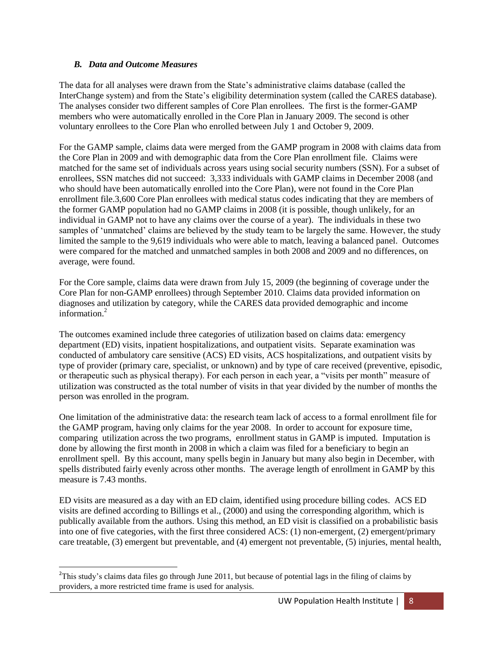### *B. Data and Outcome Measures*

l

The data for all analyses were drawn from the State's administrative claims database (called the InterChange system) and from the State's eligibility determination system (called the CARES database). The analyses consider two different samples of Core Plan enrollees. The first is the former-GAMP members who were automatically enrolled in the Core Plan in January 2009. The second is other voluntary enrollees to the Core Plan who enrolled between July 1 and October 9, 2009.

For the GAMP sample, claims data were merged from the GAMP program in 2008 with claims data from the Core Plan in 2009 and with demographic data from the Core Plan enrollment file. Claims were matched for the same set of individuals across years using social security numbers (SSN). For a subset of enrollees, SSN matches did not succeed: 3,333 individuals with GAMP claims in December 2008 (and who should have been automatically enrolled into the Core Plan), were not found in the Core Plan enrollment file.3,600 Core Plan enrollees with medical status codes indicating that they are members of the former GAMP population had no GAMP claims in 2008 (it is possible, though unlikely, for an individual in GAMP not to have any claims over the course of a year). The individuals in these two samples of 'unmatched' claims are believed by the study team to be largely the same. However, the study limited the sample to the 9,619 individuals who were able to match, leaving a balanced panel. Outcomes were compared for the matched and unmatched samples in both 2008 and 2009 and no differences, on average, were found.

For the Core sample, claims data were drawn from July 15, 2009 (the beginning of coverage under the Core Plan for non-GAMP enrollees) through September 2010. Claims data provided information on diagnoses and utilization by category, while the CARES data provided demographic and income information.<sup>2</sup>

The outcomes examined include three categories of utilization based on claims data: emergency department (ED) visits, inpatient hospitalizations, and outpatient visits. Separate examination was conducted of ambulatory care sensitive (ACS) ED visits, ACS hospitalizations, and outpatient visits by type of provider (primary care, specialist, or unknown) and by type of care received (preventive, episodic, or therapeutic such as physical therapy). For each person in each year, a "visits per month" measure of utilization was constructed as the total number of visits in that year divided by the number of months the person was enrolled in the program.

One limitation of the administrative data: the research team lack of access to a formal enrollment file for the GAMP program, having only claims for the year 2008. In order to account for exposure time, comparing utilization across the two programs, enrollment status in GAMP is imputed. Imputation is done by allowing the first month in 2008 in which a claim was filed for a beneficiary to begin an enrollment spell. By this account, many spells begin in January but many also begin in December, with spells distributed fairly evenly across other months. The average length of enrollment in GAMP by this measure is 7.43 months.

ED visits are measured as a day with an ED claim, identified using procedure billing codes. ACS ED visits are defined according to Billings et al., (2000) and using the corresponding algorithm, which is publically available from the authors. Using this method, an ED visit is classified on a probabilistic basis into one of five categories, with the first three considered ACS: (1) non-emergent, (2) emergent/primary care treatable, (3) emergent but preventable, and (4) emergent not preventable, (5) injuries, mental health,

<sup>&</sup>lt;sup>2</sup>This study's claims data files go through June 2011, but because of potential lags in the filing of claims by providers, a more restricted time frame is used for analysis.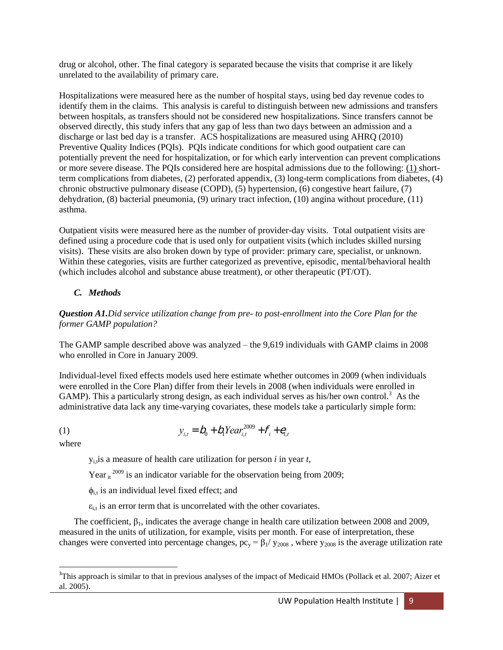drug or alcohol, other. The final category is separated because the visits that comprise it are likely unrelated to the availability of primary care.

Hospitalizations were measured here as the number of hospital stays, using bed day revenue codes to identify them in the claims. This analysis is careful to distinguish between new admissions and transfers between hospitals, as transfers should not be considered new hospitalizations. Since transfers cannot be observed directly, this study infers that any gap of less than two days between an admission and a discharge or last bed day is a transfer. ACS hospitalizations are measured using AHRQ (2010) Preventive Quality Indices (PQIs). PQIs indicate conditions for which good outpatient care can potentially prevent the need for hospitalization, or for which early intervention can prevent complications or more severe disease. The PQIs considered here are hospital admissions due to the following: (1) shortterm complications from diabetes, (2) perforated appendix, (3) long-term complications from diabetes, (4) chronic obstructive pulmonary disease (COPD), (5) hypertension, (6) congestive heart failure, (7) dehydration, (8) bacterial pneumonia, (9) urinary tract infection, (10) angina without procedure, (11) asthma.

Outpatient visits were measured here as the number of provider-day visits. Total outpatient visits are defined using a procedure code that is used only for outpatient visits (which includes skilled nursing visits). These visits are also broken down by type of provider: primary care, specialist, or unknown. Within these categories, visits are further categorized as preventive, episodic, mental/behavioral health (which includes alcohol and substance abuse treatment), or other therapeutic (PT/OT).

## *C. Methods*

*Question A1.Did service utilization change from pre- to post-enrollment into the Core Plan for the former GAMP population?*

The GAMP sample described above was analyzed – the 9,619 individuals with GAMP claims in 2008 who enrolled in Core in January 2009.

Individual-level fixed effects models used here estimate whether outcomes in 2009 (when individuals were enrolled in the Core Plan) differ from their levels in 2008 (when individuals were enrolled in GAMP). This a particularly strong design, as each individual serves as his/her own control.<sup>3</sup> As the administrative data lack any time-varying covariates, these models take a particularly simple form:

(1) 
$$
y_{i,t} = b_0 + b_1 Year_{i,t}^{2009} + f_i + e_{i,t}
$$

where

 $y_{i}$  is a measure of health care utilization for person *i* in year *t*,

Year  $\mathrm{r_{it}}^{2009}$  is an indicator variable for the observation being from 2009;

 $\phi_{i,t}$  is an individual level fixed effect; and

 $\varepsilon_{i,t}$  is an error term that is uncorrelated with the other covariates.

The coefficient,  $\beta_1$ , indicates the average change in health care utilization between 2008 and 2009, measured in the units of utilization, for example, visits per month. For ease of interpretation, these changes were converted into percentage changes,  $pc_y = \beta_1 / y_{2008}$ , where  $y_{2008}$  is the average utilization rate

l <sup>3</sup>This approach is similar to that in previous analyses of the impact of Medicaid HMOs (Pollack et al. 2007; Aizer et al. 2005).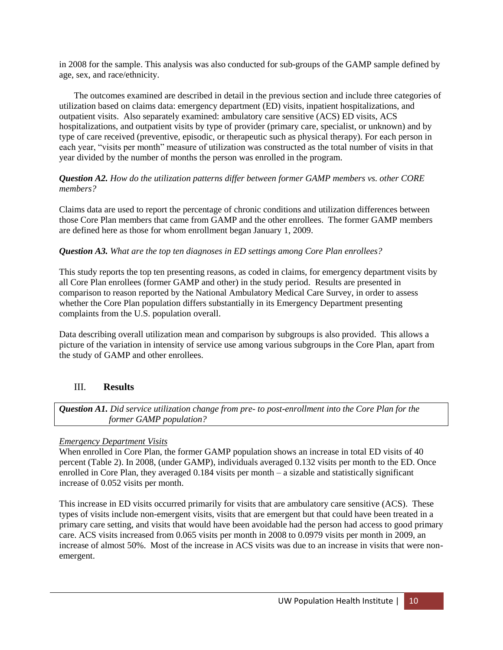in 2008 for the sample. This analysis was also conducted for sub-groups of the GAMP sample defined by age, sex, and race/ethnicity.

The outcomes examined are described in detail in the previous section and include three categories of utilization based on claims data: emergency department (ED) visits, inpatient hospitalizations, and outpatient visits. Also separately examined: ambulatory care sensitive (ACS) ED visits, ACS hospitalizations, and outpatient visits by type of provider (primary care, specialist, or unknown) and by type of care received (preventive, episodic, or therapeutic such as physical therapy). For each person in each year, "visits per month" measure of utilization was constructed as the total number of visits in that year divided by the number of months the person was enrolled in the program.

### *Question A2. How do the utilization patterns differ between former GAMP members vs. other CORE members?*

Claims data are used to report the percentage of chronic conditions and utilization differences between those Core Plan members that came from GAMP and the other enrollees. The former GAMP members are defined here as those for whom enrollment began January 1, 2009.

## *Question A3. What are the top ten diagnoses in ED settings among Core Plan enrollees?*

This study reports the top ten presenting reasons, as coded in claims, for emergency department visits by all Core Plan enrollees (former GAMP and other) in the study period. Results are presented in comparison to reason reported by the National Ambulatory Medical Care Survey, in order to assess whether the Core Plan population differs substantially in its Emergency Department presenting complaints from the U.S. population overall.

Data describing overall utilization mean and comparison by subgroups is also provided. This allows a picture of the variation in intensity of service use among various subgroups in the Core Plan, apart from the study of GAMP and other enrollees.

## III. **Results**

*Question A1. Did service utilization change from pre- to post-enrollment into the Core Plan for the former GAMP population?*

### *Emergency Department Visits*

When enrolled in Core Plan, the former GAMP population shows an increase in total ED visits of 40 percent (Table 2). In 2008, (under GAMP), individuals averaged 0.132 visits per month to the ED. Once enrolled in Core Plan, they averaged 0.184 visits per month – a sizable and statistically significant increase of 0.052 visits per month.

This increase in ED visits occurred primarily for visits that are ambulatory care sensitive (ACS). These types of visits include non-emergent visits, visits that are emergent but that could have been treated in a primary care setting, and visits that would have been avoidable had the person had access to good primary care. ACS visits increased from 0.065 visits per month in 2008 to 0.0979 visits per month in 2009, an increase of almost 50%. Most of the increase in ACS visits was due to an increase in visits that were nonemergent.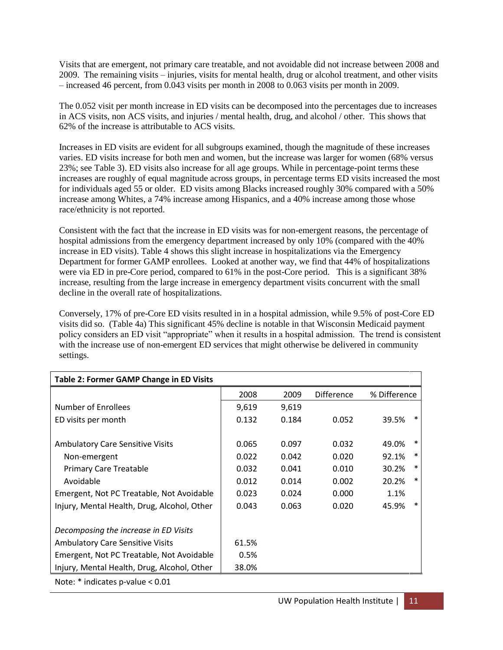Visits that are emergent, not primary care treatable, and not avoidable did not increase between 2008 and 2009. The remaining visits – injuries, visits for mental health, drug or alcohol treatment, and other visits – increased 46 percent, from 0.043 visits per month in 2008 to 0.063 visits per month in 2009.

The 0.052 visit per month increase in ED visits can be decomposed into the percentages due to increases in ACS visits, non ACS visits, and injuries / mental health, drug, and alcohol / other. This shows that 62% of the increase is attributable to ACS visits.

Increases in ED visits are evident for all subgroups examined, though the magnitude of these increases varies. ED visits increase for both men and women, but the increase was larger for women (68% versus 23%; see Table 3). ED visits also increase for all age groups. While in percentage-point terms these increases are roughly of equal magnitude across groups, in percentage terms ED visits increased the most for individuals aged 55 or older. ED visits among Blacks increased roughly 30% compared with a 50% increase among Whites, a 74% increase among Hispanics, and a 40% increase among those whose race/ethnicity is not reported.

Consistent with the fact that the increase in ED visits was for non-emergent reasons, the percentage of hospital admissions from the emergency department increased by only 10% (compared with the 40% increase in ED visits). Table 4 shows this slight increase in hospitalizations via the Emergency Department for former GAMP enrollees. Looked at another way, we find that 44% of hospitalizations were via ED in pre-Core period, compared to 61% in the post-Core period. This is a significant 38% increase, resulting from the large increase in emergency department visits concurrent with the small decline in the overall rate of hospitalizations.

Conversely, 17% of pre-Core ED visits resulted in in a hospital admission, while 9.5% of post-Core ED visits did so. (Table 4a) This significant 45% decline is notable in that Wisconsin Medicaid payment policy considers an ED visit "appropriate" when it results in a hospital admission. The trend is consistent with the increase use of non-emergent ED services that might otherwise be delivered in community settings.

| <b>Table 2: Former GAMP Change in ED Visits</b> |       |       |                   |                 |
|-------------------------------------------------|-------|-------|-------------------|-----------------|
|                                                 | 2008  | 2009  | <b>Difference</b> | % Difference    |
| Number of Enrollees                             | 9,619 | 9,619 |                   |                 |
| ED visits per month                             | 0.132 | 0.184 | 0.052             | $\ast$<br>39.5% |
| <b>Ambulatory Care Sensitive Visits</b>         | 0.065 | 0.097 | 0.032             | $\ast$<br>49.0% |
| Non-emergent                                    | 0.022 | 0.042 | 0.020             | $\ast$<br>92.1% |
| <b>Primary Care Treatable</b>                   | 0.032 | 0.041 | 0.010             | $\ast$<br>30.2% |
| Avoidable                                       | 0.012 | 0.014 | 0.002             | $\ast$<br>20.2% |
| Emergent, Not PC Treatable, Not Avoidable       | 0.023 | 0.024 | 0.000             | 1.1%            |
| Injury, Mental Health, Drug, Alcohol, Other     | 0.043 | 0.063 | 0.020             | ∗<br>45.9%      |
| Decomposing the increase in ED Visits           |       |       |                   |                 |
| <b>Ambulatory Care Sensitive Visits</b>         | 61.5% |       |                   |                 |
| Emergent, Not PC Treatable, Not Avoidable       | 0.5%  |       |                   |                 |
| Injury, Mental Health, Drug, Alcohol, Other     | 38.0% |       |                   |                 |
| Note: $*$ indicates p-value $< 0.01$            |       |       |                   |                 |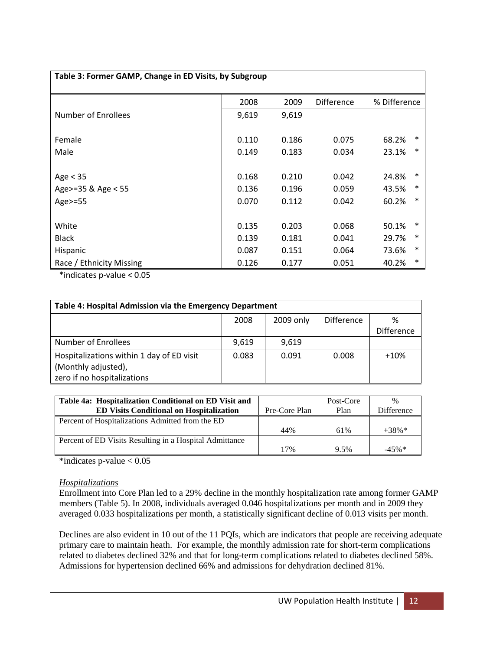| Table 3: Former GAMP, Change in ED Visits, by Subgroup |       |       |                   |                 |  |  |  |
|--------------------------------------------------------|-------|-------|-------------------|-----------------|--|--|--|
|                                                        | 2008  | 2009  | <b>Difference</b> | % Difference    |  |  |  |
| Number of Enrollees                                    | 9,619 | 9,619 |                   |                 |  |  |  |
| Female                                                 | 0.110 | 0.186 | 0.075             | ∗<br>68.2%      |  |  |  |
| Male                                                   | 0.149 | 0.183 | 0.034             | ∗<br>23.1%      |  |  |  |
| Age $<$ 35                                             | 0.168 | 0.210 | 0.042             | 24.8%<br>*      |  |  |  |
| Age>=35 & Age < 55                                     | 0.136 | 0.196 | 0.059             | *<br>43.5%      |  |  |  |
| Age $>=$ 55                                            | 0.070 | 0.112 | 0.042             | *<br>60.2%      |  |  |  |
| White                                                  | 0.135 | 0.203 | 0.068             | *<br>50.1%      |  |  |  |
| <b>Black</b>                                           | 0.139 | 0.181 | 0.041             | *<br>29.7%      |  |  |  |
| Hispanic                                               | 0.087 | 0.151 | 0.064             | *<br>73.6%      |  |  |  |
| Race / Ethnicity Missing                               | 0.126 | 0.177 | 0.051             | $\ast$<br>40.2% |  |  |  |

\*indicates p-value < 0.05

| Table 4: Hospital Admission via the Emergency Department |       |           |                   |                   |  |  |
|----------------------------------------------------------|-------|-----------|-------------------|-------------------|--|--|
|                                                          | 2008  | 2009 only | <b>Difference</b> | ℅                 |  |  |
|                                                          |       |           |                   | <b>Difference</b> |  |  |
| Number of Enrollees                                      | 9,619 | 9,619     |                   |                   |  |  |
| Hospitalizations within 1 day of ED visit                | 0.083 | 0.091     | 0.008             | $+10%$            |  |  |
| (Monthly adjusted),                                      |       |           |                   |                   |  |  |
| zero if no hospitalizations                              |       |           |                   |                   |  |  |

| Table 4a: Hospitalization Conditional on ED Visit and   |               | Post-Core | $\%$              |
|---------------------------------------------------------|---------------|-----------|-------------------|
| <b>ED Visits Conditional on Hospitalization</b>         | Pre-Core Plan | Plan      | <b>Difference</b> |
| Percent of Hospitalizations Admitted from the ED        |               |           |                   |
|                                                         | 44%           | 61%       | $+38\%$           |
| Percent of ED Visits Resulting in a Hospital Admittance |               |           |                   |
|                                                         | 17%           | 9.5%      | $-45\%$           |

\*indicates p-value < 0.05

### *Hospitalizations*

Enrollment into Core Plan led to a 29% decline in the monthly hospitalization rate among former GAMP members (Table 5). In 2008, individuals averaged 0.046 hospitalizations per month and in 2009 they averaged 0.033 hospitalizations per month, a statistically significant decline of 0.013 visits per month.

Declines are also evident in 10 out of the 11 PQIs, which are indicators that people are receiving adequate primary care to maintain heath. For example, the monthly admission rate for short-term complications related to diabetes declined 32% and that for long-term complications related to diabetes declined 58%. Admissions for hypertension declined 66% and admissions for dehydration declined 81%.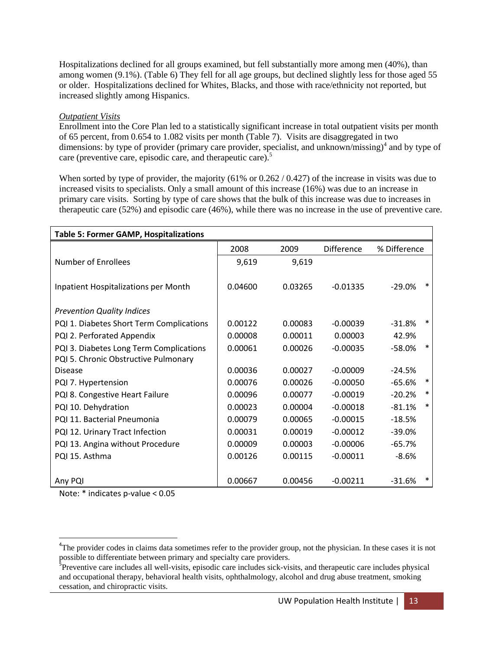Hospitalizations declined for all groups examined, but fell substantially more among men (40%), than among women (9.1%). (Table 6) They fell for all age groups, but declined slightly less for those aged 55 or older. Hospitalizations declined for Whites, Blacks, and those with race/ethnicity not reported, but increased slightly among Hispanics.

### *Outpatient Visits*

Enrollment into the Core Plan led to a statistically significant increase in total outpatient visits per month of 65 percent, from 0.654 to 1.082 visits per month (Table 7). Visits are disaggregated in two dimensions: by type of provider (primary care provider, specialist, and unknown/missing)<sup>4</sup> and by type of care (preventive care, episodic care, and therapeutic care).<sup>5</sup>

When sorted by type of provider, the majority (61% or 0.262 / 0.427) of the increase in visits was due to increased visits to specialists. Only a small amount of this increase (16%) was due to an increase in primary care visits. Sorting by type of care shows that the bulk of this increase was due to increases in therapeutic care (52%) and episodic care (46%), while there was no increase in the use of preventive care.

| <b>Table 5: Former GAMP, Hospitalizations</b> |         |         |                   |                    |
|-----------------------------------------------|---------|---------|-------------------|--------------------|
|                                               | 2008    | 2009    | <b>Difference</b> | % Difference       |
| Number of Enrollees                           | 9,619   | 9,619   |                   |                    |
| Inpatient Hospitalizations per Month          | 0.04600 | 0.03265 | $-0.01335$        | *<br>$-29.0%$      |
| <b>Prevention Quality Indices</b>             |         |         |                   |                    |
| PQI 1. Diabetes Short Term Complications      | 0.00122 | 0.00083 | $-0.00039$        | *<br>$-31.8%$      |
| PQI 2. Perforated Appendix                    | 0.00008 | 0.00011 | 0.00003           | 42.9%              |
| PQI 3. Diabetes Long Term Complications       | 0.00061 | 0.00026 | $-0.00035$        | $\ast$<br>$-58.0%$ |
| PQI 5. Chronic Obstructive Pulmonary          |         |         |                   |                    |
| <b>Disease</b>                                | 0.00036 | 0.00027 | $-0.00009$        | $-24.5%$           |
| PQI 7. Hypertension                           | 0.00076 | 0.00026 | $-0.00050$        | *<br>$-65.6%$      |
| PQI 8. Congestive Heart Failure               | 0.00096 | 0.00077 | $-0.00019$        | *<br>$-20.2%$      |
| PQI 10. Dehydration                           | 0.00023 | 0.00004 | $-0.00018$        | $\ast$<br>$-81.1%$ |
| PQI 11. Bacterial Pneumonia                   | 0.00079 | 0.00065 | $-0.00015$        | $-18.5%$           |
| PQI 12. Urinary Tract Infection               | 0.00031 | 0.00019 | $-0.00012$        | $-39.0%$           |
| PQI 13. Angina without Procedure              | 0.00009 | 0.00003 | $-0.00006$        | $-65.7%$           |
| PQI 15. Asthma                                | 0.00126 | 0.00115 | $-0.00011$        | $-8.6%$            |
|                                               |         |         |                   |                    |
| Any PQI                                       | 0.00667 | 0.00456 | $-0.00211$        | ∗<br>$-31.6%$      |

Note: \* indicates p-value < 0.05

 $\overline{a}$ 

<sup>&</sup>lt;sup>4</sup>The provider codes in claims data sometimes refer to the provider group, not the physician. In these cases it is not possible to differentiate between primary and specialty care providers.

<sup>&</sup>lt;sup>5</sup>Preventive care includes all well-visits, episodic care includes sick-visits, and therapeutic care includes physical and occupational therapy, behavioral health visits, ophthalmology, alcohol and drug abuse treatment, smoking cessation, and chiropractic visits.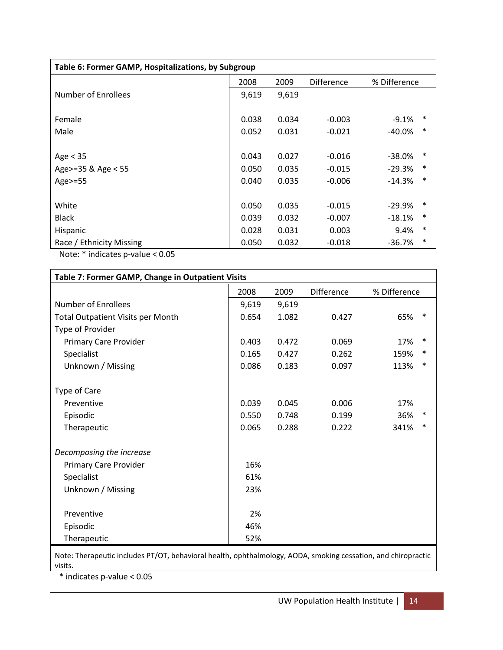| Table 6: Former GAMP, Hospitalizations, by Subgroup |       |       |                   |              |        |  |  |
|-----------------------------------------------------|-------|-------|-------------------|--------------|--------|--|--|
|                                                     | 2008  | 2009  | <b>Difference</b> | % Difference |        |  |  |
| Number of Enrollees                                 | 9,619 | 9,619 |                   |              |        |  |  |
|                                                     |       |       |                   |              |        |  |  |
| Female                                              | 0.038 | 0.034 | $-0.003$          | $-9.1\%$     | ∗      |  |  |
| Male                                                | 0.052 | 0.031 | $-0.021$          | -40.0%       | $\ast$ |  |  |
|                                                     |       |       |                   |              |        |  |  |
| Age $<$ 35                                          | 0.043 | 0.027 | $-0.016$          | $-38.0\%$    | ∗      |  |  |
| Age>=35 & Age < 55                                  | 0.050 | 0.035 | $-0.015$          | $-29.3%$     | $\ast$ |  |  |
| Age>=55                                             | 0.040 | 0.035 | $-0.006$          | $-14.3%$     | $\ast$ |  |  |
|                                                     |       |       |                   |              |        |  |  |
| White                                               | 0.050 | 0.035 | $-0.015$          | $-29.9\%$    | ∗      |  |  |
| <b>Black</b>                                        | 0.039 | 0.032 | $-0.007$          | $-18.1%$     | $\ast$ |  |  |
| Hispanic                                            | 0.028 | 0.031 | 0.003             | 9.4%         | $\ast$ |  |  |
| Race / Ethnicity Missing                            | 0.050 | 0.032 | $-0.018$          | -36.7%       | $\ast$ |  |  |

Note: \* indicates p-value < 0.05

| Table 7: Former GAMP, Change in Outpatient Visits |       |       |                   |              |  |  |  |
|---------------------------------------------------|-------|-------|-------------------|--------------|--|--|--|
|                                                   | 2008  | 2009  | <b>Difference</b> | % Difference |  |  |  |
| <b>Number of Enrollees</b>                        | 9,619 | 9,619 |                   |              |  |  |  |
| <b>Total Outpatient Visits per Month</b>          | 0.654 | 1.082 | 0.427             | 65%<br>∗     |  |  |  |
| Type of Provider                                  |       |       |                   |              |  |  |  |
| <b>Primary Care Provider</b>                      | 0.403 | 0.472 | 0.069             | ∗<br>17%     |  |  |  |
| Specialist                                        | 0.165 | 0.427 | 0.262             | *<br>159%    |  |  |  |
| Unknown / Missing                                 | 0.086 | 0.183 | 0.097             | *<br>113%    |  |  |  |
|                                                   |       |       |                   |              |  |  |  |
| Type of Care                                      |       |       |                   |              |  |  |  |
| Preventive                                        | 0.039 | 0.045 | 0.006             | 17%          |  |  |  |
| Episodic                                          | 0.550 | 0.748 | 0.199             | 36%<br>∗     |  |  |  |
| Therapeutic                                       | 0.065 | 0.288 | 0.222             | ∗<br>341%    |  |  |  |
|                                                   |       |       |                   |              |  |  |  |
| Decomposing the increase                          |       |       |                   |              |  |  |  |
| Primary Care Provider                             | 16%   |       |                   |              |  |  |  |
| Specialist                                        | 61%   |       |                   |              |  |  |  |
| Unknown / Missing                                 | 23%   |       |                   |              |  |  |  |
|                                                   |       |       |                   |              |  |  |  |
| Preventive                                        | 2%    |       |                   |              |  |  |  |
| Episodic                                          | 46%   |       |                   |              |  |  |  |
| Therapeutic                                       | 52%   |       |                   |              |  |  |  |
|                                                   |       |       |                   |              |  |  |  |

Note: Therapeutic includes PT/OT, behavioral health, ophthalmology, AODA, smoking cessation, and chiropractic visits.

\* indicates p-value < 0.05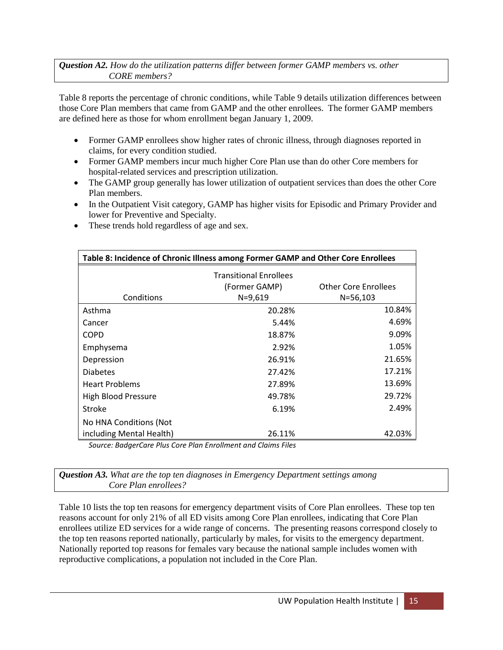## *Question A2. How do the utilization patterns differ between former GAMP members vs. other CORE members?*

Table 8 reports the percentage of chronic conditions, while Table 9 details utilization differences between those Core Plan members that came from GAMP and the other enrollees. The former GAMP members are defined here as those for whom enrollment began January 1, 2009.

- Former GAMP enrollees show higher rates of chronic illness, through diagnoses reported in claims, for every condition studied.
- Former GAMP members incur much higher Core Plan use than do other Core members for hospital-related services and prescription utilization.
- The GAMP group generally has lower utilization of outpatient services than does the other Core Plan members.
- In the Outpatient Visit category, GAMP has higher visits for Episodic and Primary Provider and lower for Preventive and Specialty.
- These trends hold regardless of age and sex.

| Table 8: Incidence of Chronic Illness among Former GAMP and Other Core Enrollees |                               |                      |  |  |  |
|----------------------------------------------------------------------------------|-------------------------------|----------------------|--|--|--|
|                                                                                  | <b>Transitional Enrollees</b> |                      |  |  |  |
|                                                                                  | (Former GAMP)                 | Other Core Enrollees |  |  |  |
| Conditions                                                                       | $N = 9,619$                   | $N = 56,103$         |  |  |  |
| Asthma                                                                           | 20.28%                        | 10.84%               |  |  |  |
| Cancer                                                                           | 5.44%                         | 4.69%                |  |  |  |
| <b>COPD</b>                                                                      | 18.87%                        | 9.09%                |  |  |  |
| Emphysema                                                                        | 2.92%                         | 1.05%                |  |  |  |
| Depression                                                                       | 26.91%                        | 21.65%               |  |  |  |
| <b>Diabetes</b>                                                                  | 27.42%                        | 17.21%               |  |  |  |
| <b>Heart Problems</b>                                                            | 27.89%                        | 13.69%               |  |  |  |
| High Blood Pressure                                                              | 49.78%                        | 29.72%               |  |  |  |
| <b>Stroke</b>                                                                    | 6.19%                         | 2.49%                |  |  |  |
| No HNA Conditions (Not                                                           |                               |                      |  |  |  |
| including Mental Health)                                                         | 26.11%                        | 42.03%               |  |  |  |

*Source: BadgerCare Plus Core Plan Enrollment and Claims Files*

*Question A3. What are the top ten diagnoses in Emergency Department settings among Core Plan enrollees?*

Table 10 lists the top ten reasons for emergency department visits of Core Plan enrollees. These top ten reasons account for only 21% of all ED visits among Core Plan enrollees, indicating that Core Plan enrollees utilize ED services for a wide range of concerns. The presenting reasons correspond closely to the top ten reasons reported nationally, particularly by males, for visits to the emergency department. Nationally reported top reasons for females vary because the national sample includes women with reproductive complications, a population not included in the Core Plan.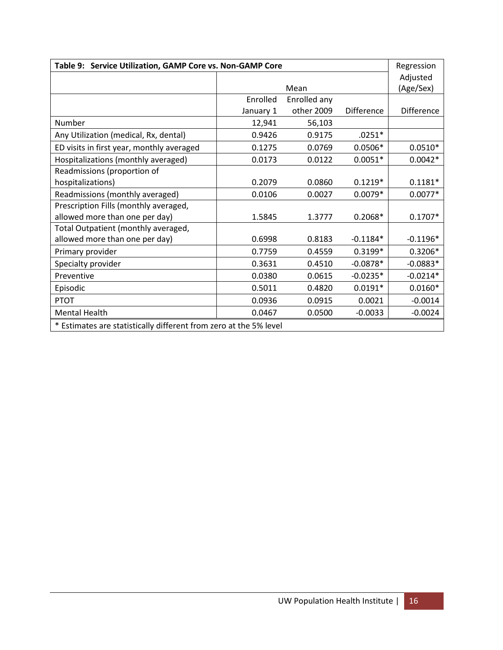| Table 9: Service Utilization, GAMP Core vs. Non-GAMP Core         |           |              |                   |                   |  |  |
|-------------------------------------------------------------------|-----------|--------------|-------------------|-------------------|--|--|
|                                                                   |           |              |                   | Adjusted          |  |  |
|                                                                   |           | Mean         |                   |                   |  |  |
|                                                                   | Enrolled  | Enrolled any |                   |                   |  |  |
|                                                                   | January 1 | other 2009   | <b>Difference</b> | <b>Difference</b> |  |  |
| Number                                                            | 12,941    | 56,103       |                   |                   |  |  |
| Any Utilization (medical, Rx, dental)                             | 0.9426    | 0.9175       | $.0251*$          |                   |  |  |
| ED visits in first year, monthly averaged                         | 0.1275    | 0.0769       | $0.0506*$         | $0.0510*$         |  |  |
| Hospitalizations (monthly averaged)                               | 0.0173    | 0.0122       | $0.0051*$         | $0.0042*$         |  |  |
| Readmissions (proportion of                                       |           |              |                   |                   |  |  |
| hospitalizations)                                                 | 0.2079    | 0.0860       | $0.1219*$         | $0.1181*$         |  |  |
| Readmissions (monthly averaged)                                   | 0.0106    | 0.0027       | $0.0079*$         | $0.0077*$         |  |  |
| Prescription Fills (monthly averaged,                             |           |              |                   |                   |  |  |
| allowed more than one per day)                                    | 1.5845    | 1.3777       | $0.2068*$         | $0.1707*$         |  |  |
| Total Outpatient (monthly averaged,                               |           |              |                   |                   |  |  |
| allowed more than one per day)                                    | 0.6998    | 0.8183       | $-0.1184*$        | $-0.1196*$        |  |  |
| Primary provider                                                  | 0.7759    | 0.4559       | $0.3199*$         | $0.3206*$         |  |  |
| Specialty provider                                                | 0.3631    | 0.4510       | $-0.0878*$        | $-0.0883*$        |  |  |
| Preventive                                                        | 0.0380    | 0.0615       | $-0.0235*$        | $-0.0214*$        |  |  |
| Episodic                                                          | 0.5011    | 0.4820       | $0.0191*$         | $0.0160*$         |  |  |
| <b>PTOT</b>                                                       | 0.0936    | 0.0915       | 0.0021            | $-0.0014$         |  |  |
| <b>Mental Health</b>                                              | 0.0467    | 0.0500       | $-0.0033$         | $-0.0024$         |  |  |
| * Estimates are statistically different from zero at the 5% level |           |              |                   |                   |  |  |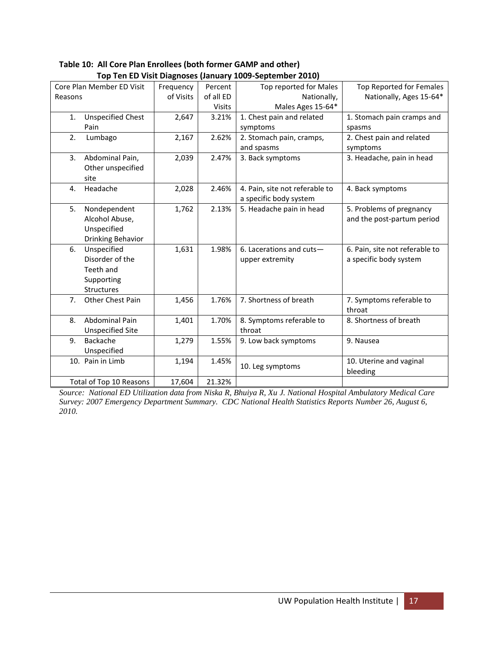| Core Plan Member ED Visit      | Frequency | Percent       | Top reported for Males         | Top Reported for Females       |
|--------------------------------|-----------|---------------|--------------------------------|--------------------------------|
| Reasons                        | of Visits | of all ED     | Nationally,                    | Nationally, Ages 15-64*        |
|                                |           | <b>Visits</b> | Males Ages 15-64*              |                                |
| <b>Unspecified Chest</b><br>1. | 2,647     | 3.21%         | 1. Chest pain and related      | 1. Stomach pain cramps and     |
| Pain                           |           |               | symptoms                       | spasms                         |
| 2.<br>Lumbago                  | 2,167     | 2.62%         | 2. Stomach pain, cramps,       | 2. Chest pain and related      |
|                                |           |               | and spasms                     | symptoms                       |
| 3.<br>Abdominal Pain,          | 2,039     | 2.47%         | 3. Back symptoms               | 3. Headache, pain in head      |
| Other unspecified              |           |               |                                |                                |
| site                           |           |               |                                |                                |
| Headache<br>4.                 | 2,028     | 2.46%         | 4. Pain, site not referable to | 4. Back symptoms               |
|                                |           |               | a specific body system         |                                |
| Nondependent<br>5.             | 1,762     | 2.13%         | 5. Headache pain in head       | 5. Problems of pregnancy       |
| Alcohol Abuse,                 |           |               |                                | and the post-partum period     |
| Unspecified                    |           |               |                                |                                |
| Drinking Behavior              |           |               |                                |                                |
| Unspecified<br>6.              | 1,631     | 1.98%         | 6. Lacerations and cuts-       | 6. Pain, site not referable to |
| Disorder of the                |           |               | upper extremity                | a specific body system         |
| Teeth and                      |           |               |                                |                                |
| Supporting                     |           |               |                                |                                |
| <b>Structures</b>              |           |               |                                |                                |
| 7.<br>Other Chest Pain         | 1,456     | 1.76%         | 7. Shortness of breath         | 7. Symptoms referable to       |
|                                |           |               |                                | throat                         |
| <b>Abdominal Pain</b><br>8.    | 1,401     | 1.70%         | 8. Symptoms referable to       | 8. Shortness of breath         |
| <b>Unspecified Site</b>        |           |               | throat                         |                                |
| 9.<br>Backache                 | 1,279     | 1.55%         | 9. Low back symptoms           | 9. Nausea                      |
| Unspecified                    |           |               |                                |                                |
| 10. Pain in Limb               | 1,194     | 1.45%         |                                | 10. Uterine and vaginal        |
|                                |           |               | 10. Leg symptoms               | bleeding                       |
| Total of Top 10 Reasons        | 17,604    | 21.32%        |                                |                                |

**Table 10: All Core Plan Enrollees (both former GAMP and other) Top Ten ED Visit Diagnoses (January 1009-September 2010)**

*Source: National ED Utilization data from Niska R, Bhuiya R, Xu J. National Hospital Ambulatory Medical Care Survey: 2007 Emergency Department Summary. CDC National Health Statistics Reports Number 26, August 6, 2010.*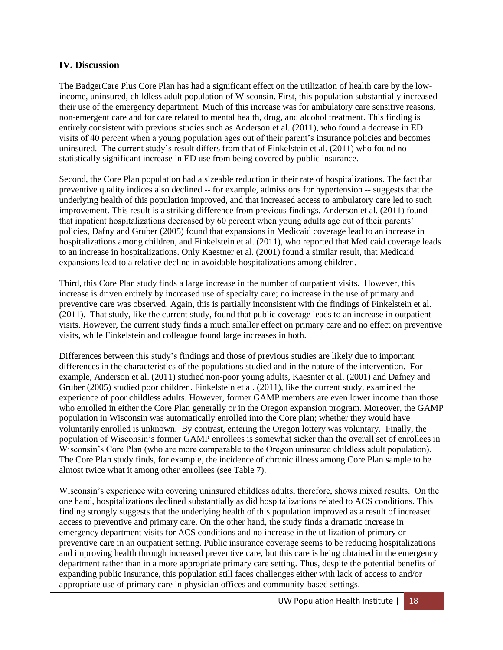## **IV. Discussion**

The BadgerCare Plus Core Plan has had a significant effect on the utilization of health care by the lowincome, uninsured, childless adult population of Wisconsin. First, this population substantially increased their use of the emergency department. Much of this increase was for ambulatory care sensitive reasons, non-emergent care and for care related to mental health, drug, and alcohol treatment. This finding is entirely consistent with previous studies such as Anderson et al. (2011), who found a decrease in ED visits of 40 percent when a young population ages out of their parent's insurance policies and becomes uninsured. The current study's result differs from that of Finkelstein et al. (2011) who found no statistically significant increase in ED use from being covered by public insurance.

Second, the Core Plan population had a sizeable reduction in their rate of hospitalizations. The fact that preventive quality indices also declined -- for example, admissions for hypertension -- suggests that the underlying health of this population improved, and that increased access to ambulatory care led to such improvement. This result is a striking difference from previous findings. Anderson et al. (2011) found that inpatient hospitalizations decreased by 60 percent when young adults age out of their parents' policies, Dafny and Gruber (2005) found that expansions in Medicaid coverage lead to an increase in hospitalizations among children, and Finkelstein et al. (2011), who reported that Medicaid coverage leads to an increase in hospitalizations. Only Kaestner et al. (2001) found a similar result, that Medicaid expansions lead to a relative decline in avoidable hospitalizations among children.

Third, this Core Plan study finds a large increase in the number of outpatient visits. However, this increase is driven entirely by increased use of specialty care; no increase in the use of primary and preventive care was observed. Again, this is partially inconsistent with the findings of Finkelstein et al. (2011). That study, like the current study, found that public coverage leads to an increase in outpatient visits. However, the current study finds a much smaller effect on primary care and no effect on preventive visits, while Finkelstein and colleague found large increases in both.

Differences between this study's findings and those of previous studies are likely due to important differences in the characteristics of the populations studied and in the nature of the intervention. For example, Anderson et al. (2011) studied non-poor young adults, Kaesnter et al. (2001) and Dafney and Gruber (2005) studied poor children. Finkelstein et al. (2011), like the current study, examined the experience of poor childless adults. However, former GAMP members are even lower income than those who enrolled in either the Core Plan generally or in the Oregon expansion program. Moreover, the GAMP population in Wisconsin was automatically enrolled into the Core plan; whether they would have voluntarily enrolled is unknown. By contrast, entering the Oregon lottery was voluntary. Finally, the population of Wisconsin's former GAMP enrollees is somewhat sicker than the overall set of enrollees in Wisconsin's Core Plan (who are more comparable to the Oregon uninsured childless adult population). The Core Plan study finds, for example, the incidence of chronic illness among Core Plan sample to be almost twice what it among other enrollees (see Table 7).

Wisconsin's experience with covering uninsured childless adults, therefore, shows mixed results. On the one hand, hospitalizations declined substantially as did hospitalizations related to ACS conditions. This finding strongly suggests that the underlying health of this population improved as a result of increased access to preventive and primary care. On the other hand, the study finds a dramatic increase in emergency department visits for ACS conditions and no increase in the utilization of primary or preventive care in an outpatient setting. Public insurance coverage seems to be reducing hospitalizations and improving health through increased preventive care, but this care is being obtained in the emergency department rather than in a more appropriate primary care setting. Thus, despite the potential benefits of expanding public insurance, this population still faces challenges either with lack of access to and/or appropriate use of primary care in physician offices and community-based settings.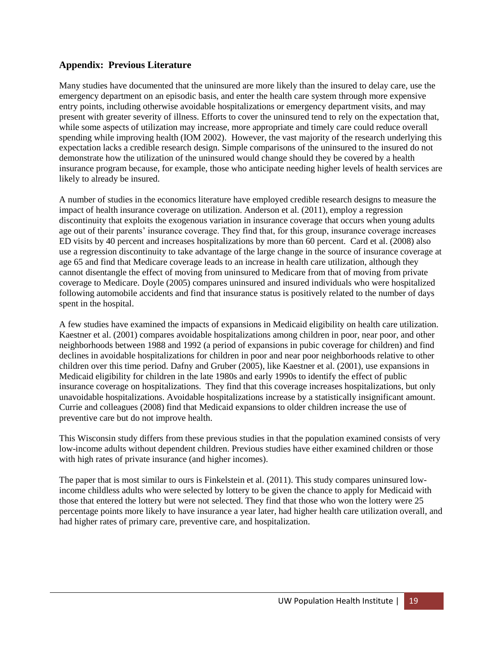## **Appendix: Previous Literature**

Many studies have documented that the uninsured are more likely than the insured to delay care, use the emergency department on an episodic basis, and enter the health care system through more expensive entry points, including otherwise avoidable hospitalizations or emergency department visits, and may present with greater severity of illness. Efforts to cover the uninsured tend to rely on the expectation that, while some aspects of utilization may increase, more appropriate and timely care could reduce overall spending while improving health (IOM 2002). However, the vast majority of the research underlying this expectation lacks a credible research design. Simple comparisons of the uninsured to the insured do not demonstrate how the utilization of the uninsured would change should they be covered by a health insurance program because, for example, those who anticipate needing higher levels of health services are likely to already be insured.

A number of studies in the economics literature have employed credible research designs to measure the impact of health insurance coverage on utilization. Anderson et al. (2011), employ a regression discontinuity that exploits the exogenous variation in insurance coverage that occurs when young adults age out of their parents' insurance coverage. They find that, for this group, insurance coverage increases ED visits by 40 percent and increases hospitalizations by more than 60 percent. Card et al. (2008) also use a regression discontinuity to take advantage of the large change in the source of insurance coverage at age 65 and find that Medicare coverage leads to an increase in health care utilization, although they cannot disentangle the effect of moving from uninsured to Medicare from that of moving from private coverage to Medicare. Doyle (2005) compares uninsured and insured individuals who were hospitalized following automobile accidents and find that insurance status is positively related to the number of days spent in the hospital.

A few studies have examined the impacts of expansions in Medicaid eligibility on health care utilization. Kaestner et al. (2001) compares avoidable hospitalizations among children in poor, near poor, and other neighborhoods between 1988 and 1992 (a period of expansions in pubic coverage for children) and find declines in avoidable hospitalizations for children in poor and near poor neighborhoods relative to other children over this time period. Dafny and Gruber (2005), like Kaestner et al. (2001), use expansions in Medicaid eligibility for children in the late 1980s and early 1990s to identify the effect of public insurance coverage on hospitalizations. They find that this coverage increases hospitalizations, but only unavoidable hospitalizations. Avoidable hospitalizations increase by a statistically insignificant amount. Currie and colleagues (2008) find that Medicaid expansions to older children increase the use of preventive care but do not improve health.

This Wisconsin study differs from these previous studies in that the population examined consists of very low-income adults without dependent children. Previous studies have either examined children or those with high rates of private insurance (and higher incomes).

The paper that is most similar to ours is Finkelstein et al. (2011). This study compares uninsured lowincome childless adults who were selected by lottery to be given the chance to apply for Medicaid with those that entered the lottery but were not selected. They find that those who won the lottery were 25 percentage points more likely to have insurance a year later, had higher health care utilization overall, and had higher rates of primary care, preventive care, and hospitalization.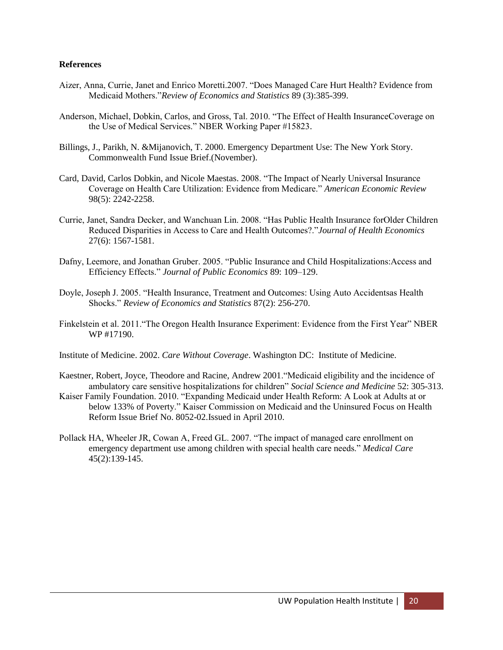#### **References**

- Aizer, Anna, Currie, Janet and Enrico Moretti.2007. "Does Managed Care Hurt Health? Evidence from Medicaid Mothers."*Review of Economics and Statistics* 89 (3):385-399.
- Anderson, Michael, Dobkin, Carlos, and Gross, Tal. 2010. "The Effect of Health InsuranceCoverage on the Use of Medical Services." NBER Working Paper #15823.
- Billings, J., Parikh, N. &Mijanovich, T. 2000. Emergency Department Use: The New York Story. Commonwealth Fund Issue Brief.(November).
- Card, David, Carlos Dobkin, and Nicole Maestas. 2008. "The Impact of Nearly Universal Insurance Coverage on Health Care Utilization: Evidence from Medicare." *American Economic Review*  98(5): 2242-2258.
- Currie, Janet, Sandra Decker, and Wanchuan Lin. 2008. "Has Public Health Insurance forOlder Children Reduced Disparities in Access to Care and Health Outcomes?."*Journal of Health Economics*  27(6): 1567-1581.
- Dafny, Leemore, and Jonathan Gruber. 2005. "Public Insurance and Child Hospitalizations:Access and Efficiency Effects." *Journal of Public Economics* 89: 109–129.
- Doyle, Joseph J. 2005. "Health Insurance, Treatment and Outcomes: Using Auto Accidentsas Health Shocks." *Review of Economics and Statistics* 87(2): 256-270.
- Finkelstein et al. 2011."The Oregon Health Insurance Experiment: Evidence from the First Year" NBER WP #17190.
- Institute of Medicine. 2002. *Care Without Coverage*. Washington DC: Institute of Medicine.
- Kaestner, Robert, Joyce, Theodore and Racine, Andrew 2001."Medicaid eligibility and the incidence of ambulatory care sensitive hospitalizations for children" *Social Science and Medicine* 52: 305-313.
- Kaiser Family Foundation. 2010. "Expanding Medicaid under Health Reform: A Look at Adults at or below 133% of Poverty." Kaiser Commission on Medicaid and the Uninsured Focus on Health Reform Issue Brief No. 8052-02.Issued in April 2010.
- Pollack HA, Wheeler JR, Cowan A, Freed GL. 2007. "The impact of managed care enrollment on emergency department use among children with special health care needs." *Medical Care* 45(2):139-145.